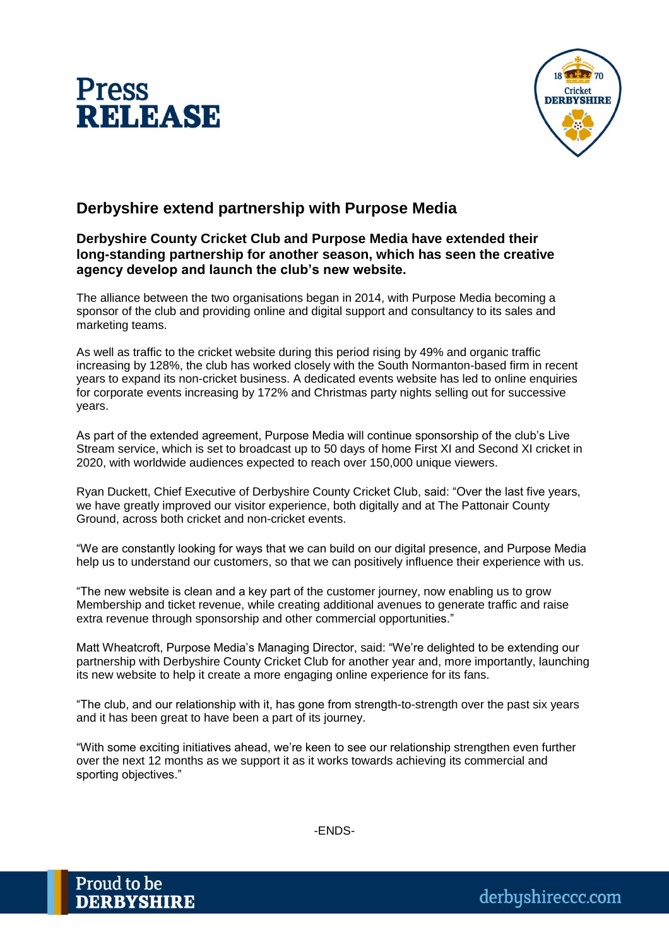



## **Derbyshire extend partnership with Purpose Media**

## **Derbyshire County Cricket Club and Purpose Media have extended their long-standing partnership for another season, which has seen the creative agency develop and launch the club's new website.**

The alliance between the two organisations began in 2014, with Purpose Media becoming a sponsor of the club and providing online and digital support and consultancy to its sales and marketing teams.

As well as traffic to the cricket website during this period rising by 49% and organic traffic increasing by 128%, the club has worked closely with the South Normanton-based firm in recent years to expand its non-cricket business. A dedicated events website has led to online enquiries for corporate events increasing by 172% and Christmas party nights selling out for successive years.

As part of the extended agreement, Purpose Media will continue sponsorship of the club's Live Stream service, which is set to broadcast up to 50 days of home First XI and Second XI cricket in 2020, with worldwide audiences expected to reach over 150,000 unique viewers.

Ryan Duckett, Chief Executive of Derbyshire County Cricket Club, said: "Over the last five years, we have greatly improved our visitor experience, both digitally and at The Pattonair County Ground, across both cricket and non-cricket events.

"We are constantly looking for ways that we can build on our digital presence, and Purpose Media help us to understand our customers, so that we can positively influence their experience with us.

"The new website is clean and a key part of the customer journey, now enabling us to grow Membership and ticket revenue, while creating additional avenues to generate traffic and raise extra revenue through sponsorship and other commercial opportunities."

Matt Wheatcroft, Purpose Media's Managing Director, said: "We're delighted to be extending our partnership with Derbyshire County Cricket Club for another year and, more importantly, launching its new website to help it create a more engaging online experience for its fans.

"The club, and our relationship with it, has gone from strength-to-strength over the past six years and it has been great to have been a part of its journey.

"With some exciting initiatives ahead, we're keen to see our relationship strengthen even further over the next 12 months as we support it as it works towards achieving its commercial and sporting objectives."

-ENDS-